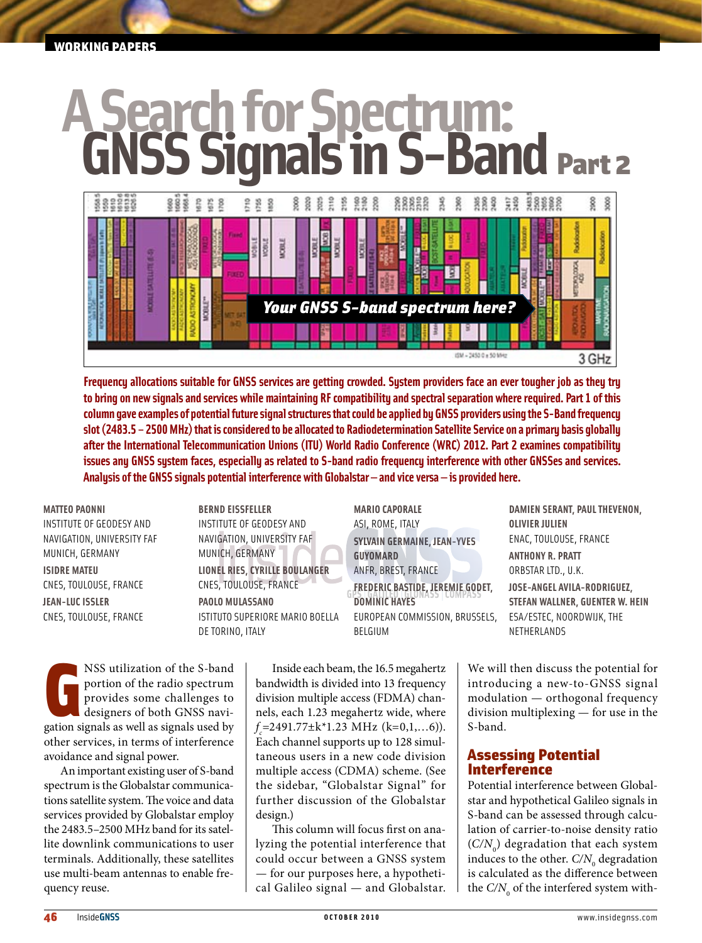#### working papers

# **A Search for Spectrum: GNSS Signals in S-Band** Part 2



**Frequency allocations suitable for GNSS services are getting crowded. System providers face an ever tougher job as they try to bring on new signals and services while maintaining RF compatibility and spectral separation where required. Part 1 of this column gave examples of potential future signal structures that could be applied by GNSS providers using the S-Band frequency slot (2483.5 – 2500 MHz) that is considered to be allocated to Radiodetermination Satellite Service on a primary basis globally after the International Telecommunication Unions (ITU) World Radio Conference (WRC) 2012. Part 2 examines compatibility issues any GNSS system faces, especially as related to S-band radio frequency interference with other GNSSes and services. Analysis of the GNSS signals potential interference with Globalstar — and vice versa — is provided here.**

**Matteo Paonni** Institute of Geodesy and Navigation, University FAF Munich, Germany **Isidre Mateu** CNES, Toulouse, France **Jean-Luc Issler** CNES, Toulouse, France

**Bernd Eissfeller** Institute of Geodesy and Navigation, University FAF Munich, Germany **Lionel Ries, Cyrille Boulanger** CNES, Toulouse, France **Paolo Mulassano** Istituto Superiore Mario Boella de Torino, Italy

**Mario Caporale** ASI, Rome, Italy **Sylvain Germaine, Jean-Yves Guyomard** ANFR, Brest, France **Frederic Bastide, Jeremie Godet, Dominic Hayes** European Commission, Brussels, Belgium

**Damien Serant, Paul Thevenon, Olivier Julien** ENAC, Toulouse, France **Anthony R. Pratt** Orbstar Ltd., U.K. **Jose-Angel Avila-Rodriguez, Stefan Wallner, Guenter W. Hein** ESA/ESTEC, Noordwijk, The Netherlands

NSS utilization of the S-band<br>portion of the radio spectrum<br>provides some challenges to<br>designers of both GNSS navigation signals as well as signals used by NSS utilization of the S-band portion of the radio spectrum provides some challenges to designers of both GNSS naviother services, in terms of interference avoidance and signal power.

An important existing user of S-band spectrum is the Globalstar communications satellite system. The voice and data services provided by Globalstar employ the 2483.5–2500 MHz band for its satellite downlink communications to user terminals. Additionally, these satellites use multi-beam antennas to enable frequency reuse.

Inside each beam, the 16.5 megahertz bandwidth is divided into 13 frequency division multiple access (FDMA) channels, each 1.23 megahertz wide, where *f c* =2491.77±k\*1.23 MHz (k=0,1,…6)). Each channel supports up to 128 simultaneous users in a new code division multiple access (CDMA) scheme. (See the sidebar, "Globalstar Signal" for further discussion of the Globalstar design.)

This column will focus first on analyzing the potential interference that could occur between a GNSS system — for our purposes here, a hypothetical Galileo signal — and Globalstar. We will then discuss the potential for introducing a new-to-GNSS signal modulation — orthogonal frequency division multiplexing — for use in the S-band.

#### Assessing Potential Interference

Potential interference between Globalstar and hypothetical Galileo signals in S-band can be assessed through calculation of carrier-to-noise density ratio  $(C/N_0)$  degradation that each system induces to the other.  $C/N_{\scriptscriptstyle 0}$  degradation is calculated as the difference between the  $C/N$ <sub>0</sub> of the interfered system with-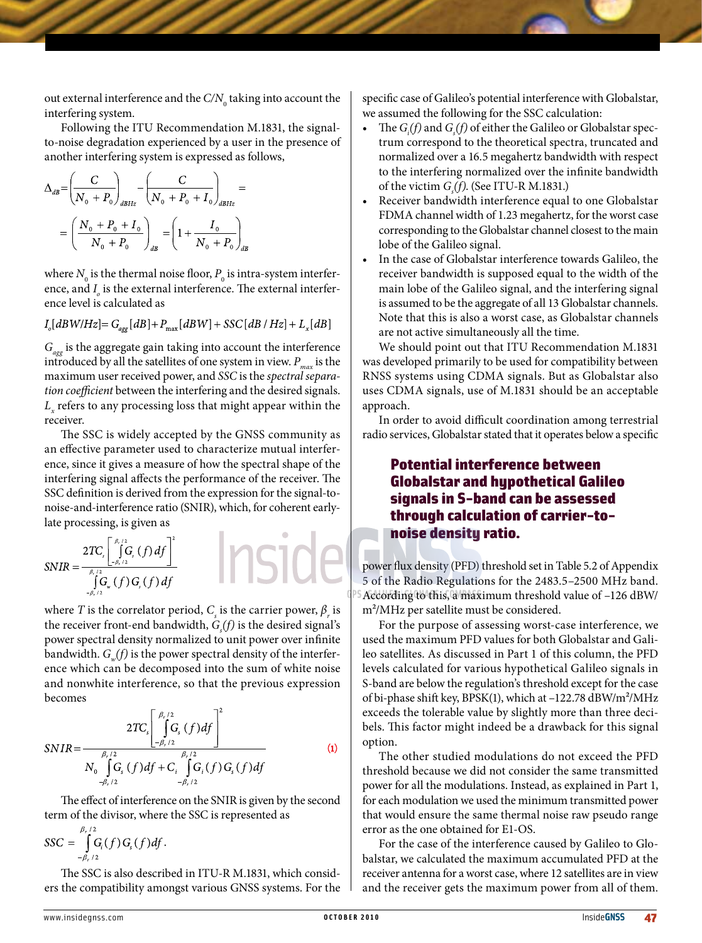out external interference and the  $C/N_{\rm o}$  taking into account the interfering system.

Following the ITU Recommendation M.1831, the signalto-noise degradation experienced by a user in the presence of another interfering system is expressed as follows,

$$
\Delta_{dB} = \left(\frac{C}{N_0 + P_0}\right)_{dBHz} - \left(\frac{C}{N_0 + P_0 + I_0}\right)_{dBHz} =
$$
\n
$$
= \left(\frac{N_0 + P_0 + I_0}{N_0 + P_0}\right)_{dB} = \left(1 + \frac{I_0}{N_0 + P_0}\right)_{dB}
$$

where  $N_{_0}$  is the thermal noise floor,  $P_{_0}$  is intra-system interference, and  $I_{\rho}$  is the external interference. The external interference level is calculated as

$$
I_o[dBW/Hz] = G_{agg}[dB] + P_{max}[dBW] + SSC[dB/Hz] + L_x[dB]
$$

*Gagg* is the aggregate gain taking into account the interference introduced by all the satellites of one system in view.  $P_{max}$  is the maximum user received power, and *SSC* is the *spectral separation coefficient* between the interfering and the desired signals.  $L_{\rm x}$  refers to any processing loss that might appear within the receiver.

The SSC is widely accepted by the GNSS community as an effective parameter used to characterize mutual interference, since it gives a measure of how the spectral shape of the interfering signal affects the performance of the receiver. The SSC definition is derived from the expression for the signal-tonoise-and-interference ratio (SNIR), which, for coherent earlylate processing, is given as

$$
SNIR = \frac{2TC_s \left[\int_{-\beta/2}^{\beta/2} G_s(f) df\right]^2}{\int_{\beta/2}^{\beta} G_w(f) G_s(f) df}
$$

where *T* is the correlator period,  $C_{\varsigma}$  is the carrier power,  $\beta_{r}$  is the receiver front-end bandwidth,  $G<sub>s</sub>(f)$  is the desired signal's power spectral density normalized to unit power over infinite bandwidth.  $G_m(f)$  is the power spectral density of the interference which can be decomposed into the sum of white noise and nonwhite interference, so that the previous expression becomes

$$
SNIR = \frac{2TC_s \left[\int_{-\beta_r/2}^{\beta_r/2} G_s(f) df\right]^2}{N_0 \int_{-\beta_r/2}^{\beta_r/2} G_s(f) df + C_i \int_{-\beta_r/2}^{\beta_r/2} G_i(f) G_s(f) df}
$$
(1)

The effect of interference on the SNIR is given by the second term of the divisor, where the SSC is represented as

$$
SSC = \int_{-\beta_r/2}^{\beta_r/2} G_i(f) G_s(f) df.
$$

The SSC is also described in ITU-R M.1831, which considers the compatibility amongst various GNSS systems. For the specific case of Galileo's potential interference with Globalstar, we assumed the following for the SSC calculation:

- The  $G_i(f)$  and  $G_s(f)$  of either the Galileo or Globalstar spectrum correspond to the theoretical spectra, truncated and normalized over a 16.5 megahertz bandwidth with respect to the interfering normalized over the infinite bandwidth of the victim *G<sub>s</sub>(f)*. (See ITU-R M.1831.)
- Receiver bandwidth interference equal to one Globalstar FDMA channel width of 1.23 megahertz, for the worst case corresponding to the Globalstar channel closest to the main lobe of the Galileo signal.
- In the case of Globalstar interference towards Galileo, the receiver bandwidth is supposed equal to the width of the main lobe of the Galileo signal, and the interfering signal is assumed to be the aggregate of all 13 Globalstar channels. Note that this is also a worst case, as Globalstar channels are not active simultaneously all the time.

We should point out that ITU Recommendation M.1831 was developed primarily to be used for compatibility between RNSS systems using CDMA signals. But as Globalstar also uses CDMA signals, use of M.1831 should be an acceptable approach.

In order to avoid difficult coordination among terrestrial radio services, Globalstar stated that it operates below a specific

# Potential interference between Globalstar and hypothetical Galileo signals in S-band can be assessed through calculation of carrier-tonoise density ratio.

power flux density (PFD) threshold set in Table 5.2 of Appendix 5 of the Radio Regulations for the 2483.5–2500 MHz band. According to this, a maximum threshold value of –126 dBW/ m²/MHz per satellite must be considered.

For the purpose of assessing worst-case interference, we used the maximum PFD values for both Globalstar and Galileo satellites. As discussed in Part 1 of this column, the PFD levels calculated for various hypothetical Galileo signals in S-band are below the regulation's threshold except for the case of bi-phase shift key, BPSK(1), which at –122.78 dBW/m²/MHz exceeds the tolerable value by slightly more than three decibels. This factor might indeed be a drawback for this signal option.

The other studied modulations do not exceed the PFD threshold because we did not consider the same transmitted power for all the modulations. Instead, as explained in Part 1, for each modulation we used the minimum transmitted power that would ensure the same thermal noise raw pseudo range error as the one obtained for E1-OS.

For the case of the interference caused by Galileo to Globalstar, we calculated the maximum accumulated PFD at the receiver antenna for a worst case, where 12 satellites are in view and the receiver gets the maximum power from all of them.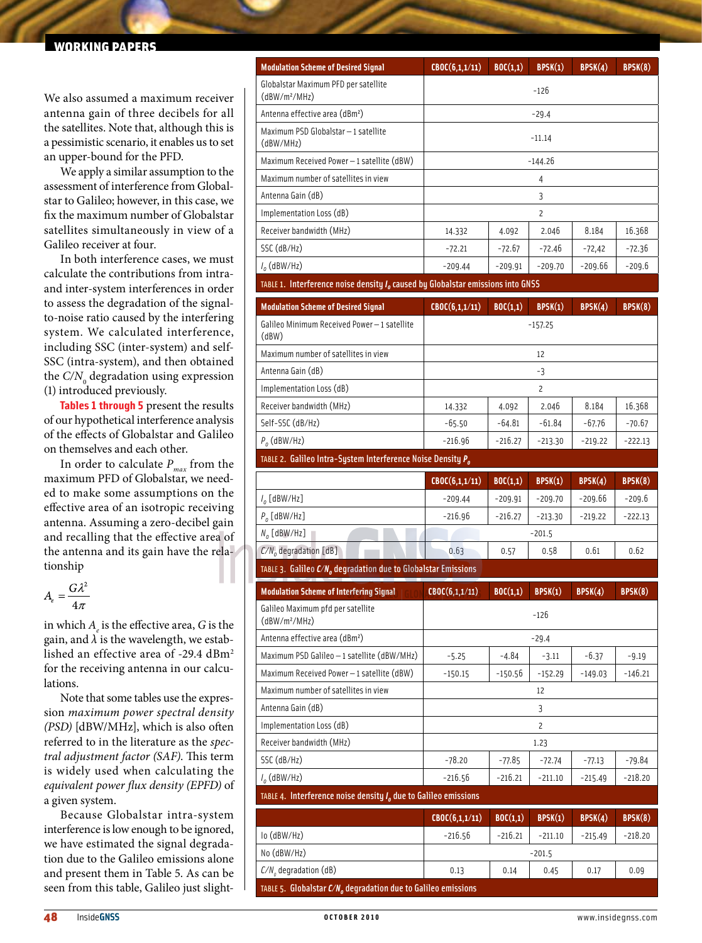#### working papers

We also assumed a maximum receiver antenna gain of three decibels for all the satellites. Note that, although this is a pessimistic scenario, it enables us to set an upper-bound for the PFD.

We apply a similar assumption to the assessment of interference from Globalstar to Galileo; however, in this case, we fix the maximum number of Globalstar satellites simultaneously in view of a Galileo receiver at four.

In both interference cases, we must calculate the contributions from intraand inter-system interferences in order to assess the degradation of the signalto-noise ratio caused by the interfering system. We calculated interference, including SSC (inter-system) and self-SSC (intra-system), and then obtained the  $\mathit{C/N}^{\vphantom{\dagger}}_0$  degradation using expression (1) introduced previously.

**Tables 1 through 5** present the results of our hypothetical interference analysis of the effects of Globalstar and Galileo on themselves and each other.

In order to calculate  $P_{max}$  from the maximum PFD of Globalstar, we needed to make some assumptions on the effective area of an isotropic receiving antenna. Assuming a zero-decibel gain and recalling that the effective area of the antenna and its gain have the relationship

$$
A_e = \frac{G\lambda^2}{4\pi}
$$

in which  $A_e$  is the effective area,  $G$  is the gain, and  $\lambda$  is the wavelength, we established an effective area of -29.4 dBm<sup>2</sup> for the receiving antenna in our calculations.

Note that some tables use the expression *maximum power spectral density (PSD)* [dBW/MHz], which is also often referred to in the literature as the *spectral adjustment factor (SAF)*. This term is widely used when calculating the *equivalent power flux density (EPFD)* of a given system.

Because Globalstar intra-system interference is low enough to be ignored, we have estimated the signal degradation due to the Galileo emissions alone and present them in Table 5. As can be seen from this table, Galileo just slight-

| <b>Modulation Scheme of Desired Signal</b>                                        | CBC(6,1,1/11)  | BOC(1,1)  | BPSK(1)        | BPSK(4)   | BPSK(8)   |
|-----------------------------------------------------------------------------------|----------------|-----------|----------------|-----------|-----------|
| Globalstar Maximum PFD per satellite<br>(dBW/m <sup>2</sup> /MHz)                 | $-126$         |           |                |           |           |
| Antenna effective area (dBm <sup>2</sup> )                                        | $-29.4$        |           |                |           |           |
| Maximum PSD Globalstar - 1 satellite<br>(dBW/MHz)                                 | $-11.14$       |           |                |           |           |
| Maximum Received Power-1 satellite (dBW)                                          | -144.26        |           |                |           |           |
| Maximum number of satellites in view                                              | 4              |           |                |           |           |
| Antenna Gain (dB)                                                                 | 3              |           |                |           |           |
| Implementation Loss (dB)                                                          |                |           | $\overline{c}$ |           |           |
| Receiver bandwidth (MHz)                                                          | 14.332         | 4.092     | 2.046          | 8.184     | 16.368    |
| SSC (dB/Hz)                                                                       | $-72.21$       | -72.67    | -72.46         | -72,42    | -72.36    |
| $I_0$ (dBW/Hz)                                                                    | $-209.44$      | $-209.91$ | $-209.70$      | -209.66   | $-209.6$  |
| TABLE 1. Interference noise density $Io$ caused by Globalstar emissions into GNSS |                |           |                |           |           |
| <b>Modulation Scheme of Desired Signal</b>                                        | CBOC(6,1,1/11) | BOC(1,1)  | BPSK(1)        | BPSK(4)   | BPSK(8)   |
| Galileo Minimum Received Power-1 satellite<br>(dBW)                               | $-157.25$      |           |                |           |           |
| Maximum number of satellites in view                                              | 12             |           |                |           |           |
| Antenna Gain (dB)                                                                 | -3             |           |                |           |           |
| Implementation Loss (dB)                                                          | $\overline{c}$ |           |                |           |           |
| Receiver bandwidth (MHz)                                                          | 14.332         | 4.092     | 2.046          | 8.184     | 16.368    |
| Self-SSC (dB/Hz)                                                                  | $-65.50$       | $-64.81$  | $-61.84$       | $-67.76$  | $-70.67$  |
| $P_{0}$ (dBW/Hz)                                                                  | $-216.96$      | $-216.27$ | $-213.30$      | $-219.22$ | $-222.13$ |
| TABLE 2. Galileo Intra-System Interference Noise Density P <sub>o</sub>           |                |           |                |           |           |
|                                                                                   | CBOC(6,1,1/11) | BOC(1,1)  | BPSK(1)        | BPSK(4)   | BPSK(8)   |
|                                                                                   |                |           |                |           |           |
| $I_o$ [dBW/Hz]                                                                    | $-209.44$      | $-209.91$ | $-209.70$      | -209.66   | -209.6    |
| $P_o$ [dBW/Hz]                                                                    | $-216.96$      | -216.27   | $-213.30$      | $-219.22$ | $-222.13$ |
| $N_o$ [dBW/Hz]                                                                    |                |           | $-201.5$       |           |           |
| $C/No$ degradation [dB]                                                           | 0.63           | 0.57      | 0.58           | 0.61      | 0.62      |
| TABLE 3. Galileo $C/N_o$ degradation due to Globalstar Emissions                  |                |           |                |           |           |
| <b>Modulation Scheme of Interfering Signal</b>                                    | CBOC(6,1,1/11) | BOC(1,1)  | BPSK(1)        | BPSK(4)   | BPSK(8)   |
| Galileo Maximum pfd per satellite<br>$(dBW/m^2/MHz)$                              |                |           | $-126$         |           |           |
| Antenna effective area (dBm <sup>2</sup> )                                        |                |           | $-29.4$        |           |           |
| Maximum PSD Galileo - 1 satellite (dBW/MHz)                                       | $-5.25$        | -4.84     | $-3.11$        | $-6.37$   | $-9.19$   |
| Maximum Received Power-1 satellite (dBW)                                          | $-150.15$      | -150.56   | $-152.29$      | $-149.03$ | $-146.21$ |
| Maximum number of satellites in view                                              |                |           | 12             |           |           |
| Antenna Gain (dB)                                                                 |                |           | 3              |           |           |
| Implementation Loss (dB)                                                          |                |           | $\overline{c}$ |           |           |
| Receiver bandwidth (MHz)                                                          |                |           | 1.23           |           |           |
| SSC (dB/Hz)                                                                       | $-78.20$       | -77.85    | $-72.74$       | $-77.13$  | $-79.84$  |
| $I_{o}$ (dBW/Hz)                                                                  | $-216.56$      | $-216.21$ | $-211.10$      | $-215.49$ | $-218.20$ |
| TABLE 4. Interference noise density $Io$ due to Galileo emissions                 |                |           |                |           |           |
|                                                                                   | CBC(6,1,1/11)  | BOC(1,1)  | BPSK(1)        | BPSK(4)   | BPSK(8)   |
| lo (dBW/Hz)                                                                       | -216.56        | $-216.21$ | $-211.10$      | $-215.49$ | $-218.20$ |
| No (dBW/Hz)                                                                       |                |           | $-201.5$       |           |           |

48 Inside**GNSS o c t o b e r 2 0 1 0** www.insidegnss.com

TABLE 5. Globalstar  $C/N<sub>a</sub>$  degradation due to Galileo emissions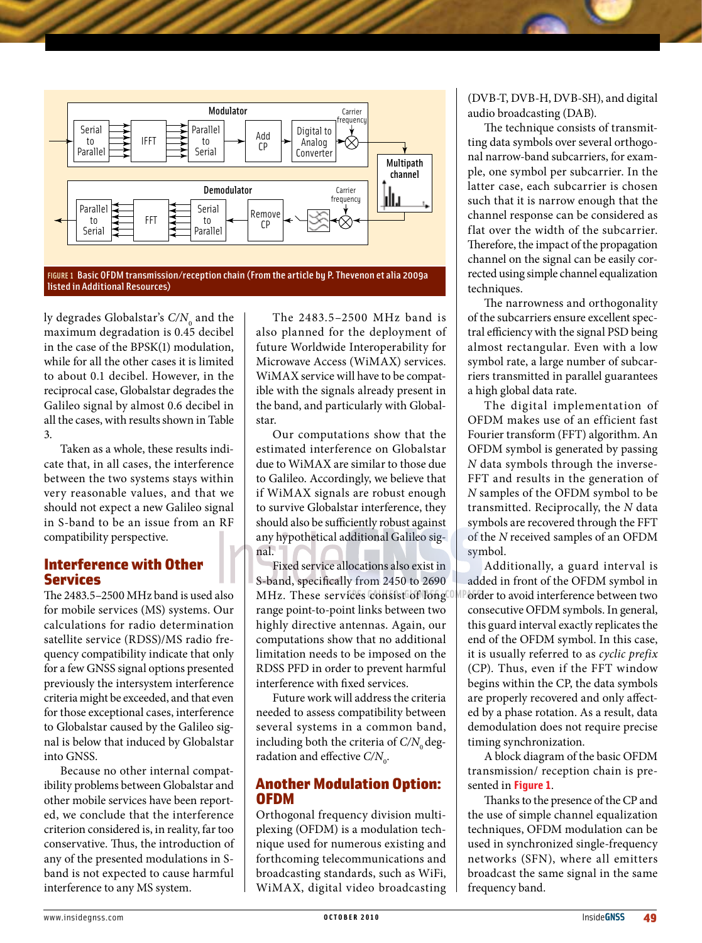

FIGURE 1 Basic OFDM transmission/reception chain (From the article by P. Thevenon et alia 2009a listed in Additional Resources)

ly degrades Globalstar's  $C\!/\!N_{_0}$  and the maximum degradation is 0.45 decibel in the case of the BPSK(1) modulation, while for all the other cases it is limited to about 0.1 decibel. However, in the reciprocal case, Globalstar degrades the Galileo signal by almost 0.6 decibel in all the cases, with results shown in Table 3.

Taken as a whole, these results indicate that, in all cases, the interference between the two systems stays within very reasonable values, and that we should not expect a new Galileo signal in S-band to be an issue from an RF compatibility perspective.

#### Interference with Other Services

The 2483.5–2500 MHz band is used also for mobile services (MS) systems. Our calculations for radio determination satellite service (RDSS)/MS radio frequency compatibility indicate that only for a few GNSS signal options presented previously the intersystem interference criteria might be exceeded, and that even for those exceptional cases, interference to Globalstar caused by the Galileo signal is below that induced by Globalstar into GNSS.

Because no other internal compatibility problems between Globalstar and other mobile services have been reported, we conclude that the interference criterion considered is, in reality, far too conservative. Thus, the introduction of any of the presented modulations in Sband is not expected to cause harmful interference to any MS system.

The 2483.5–2500 MHz band is also planned for the deployment of future Worldwide Interoperability for Microwave Access (WiMAX) services. WiMAX service will have to be compatible with the signals already present in the band, and particularly with Globalstar.

Our computations show that the estimated interference on Globalstar due to WiMAX are similar to those due to Galileo. Accordingly, we believe that if WiMAX signals are robust enough to survive Globalstar interference, they should also be sufficiently robust against any hypothetical additional Galileo signal.

Fixed service allocations also exist in S-band, specifically from 2450 to 2690 MHz. These services consist of long range point-to-point links between two highly directive antennas. Again, our computations show that no additional limitation needs to be imposed on the RDSS PFD in order to prevent harmful interference with fixed services.

Future work will address the criteria needed to assess compatibility between several systems in a common band, including both the criteria of  $C/N_0$  degradation and effective C/N<sub>0</sub>.

#### Another Modulation Option: OFDM

Orthogonal frequency division multiplexing (OFDM) is a modulation technique used for numerous existing and forthcoming telecommunications and broadcasting standards, such as WiFi, WiMAX, digital video broadcasting (DVB-T, DVB-H, DVB-SH), and digital audio broadcasting (DAB).

The technique consists of transmitting data symbols over several orthogonal narrow-band subcarriers, for example, one symbol per subcarrier. In the latter case, each subcarrier is chosen such that it is narrow enough that the channel response can be considered as flat over the width of the subcarrier. Therefore, the impact of the propagation channel on the signal can be easily corrected using simple channel equalization techniques.

The narrowness and orthogonality of the subcarriers ensure excellent spectral efficiency with the signal PSD being almost rectangular. Even with a low symbol rate, a large number of subcarriers transmitted in parallel guarantees a high global data rate.

The digital implementation of OFDM makes use of an efficient fast Fourier transform (FFT) algorithm. An OFDM symbol is generated by passing *N* data symbols through the inverse-FFT and results in the generation of *N* samples of the OFDM symbol to be transmitted. Reciprocally, the *N* data symbols are recovered through the FFT of the *N* received samples of an OFDM symbol.

Additionally, a guard interval is added in front of the OFDM symbol in order to avoid interference between two consecutive OFDM symbols. In general, this guard interval exactly replicates the end of the OFDM symbol. In this case, it is usually referred to as *cyclic prefix* (CP). Thus, even if the FFT window begins within the CP, the data symbols are properly recovered and only affected by a phase rotation. As a result, data demodulation does not require precise timing synchronization.

A block diagram of the basic OFDM transmission/ reception chain is presented in **Figure 1**.

Thanks to the presence of the CP and the use of simple channel equalization techniques, OFDM modulation can be used in synchronized single-frequency networks (SFN), where all emitters broadcast the same signal in the same frequency band.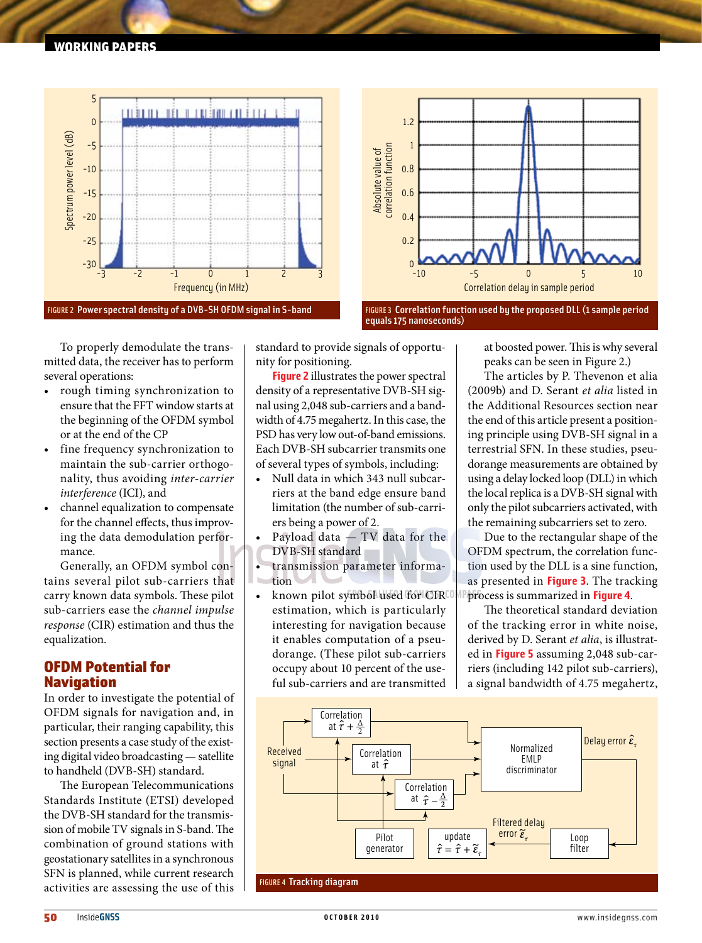



FIGURE 3 Correlation function used by the proposed DLL (1 sample period equals 175 nanoseconds)

To properly demodulate the transmitted data, the receiver has to perform several operations:

- rough timing synchronization to ensure that the FFT window starts at the beginning of the OFDM symbol or at the end of the CP
- fine frequency synchronization to maintain the sub-carrier orthogonality, thus avoiding *inter-carrier interference* (ICI), and
- channel equalization to compensate for the channel effects, thus improving the data demodulation performance.

Generally, an OFDM symbol contains several pilot sub-carriers that carry known data symbols. These pilot sub-carriers ease the *channel impulse response* (CIR) estimation and thus the equalization.

## OFDM Potential for **Navigation**

In order to investigate the potential of OFDM signals for navigation and, in particular, their ranging capability, this section presents a case study of the existing digital video broadcasting — satellite to handheld (DVB-SH) standard.

The European Telecommunications Standards Institute (ETSI) developed the DVB-SH standard for the transmission of mobile TV signals in S-band. The combination of ground stations with geostationary satellites in a synchronous SFN is planned, while current research activities are assessing the use of this

standard to provide signals of opportunity for positioning.

**Figure 2** illustrates the power spectral density of a representative DVB-SH signal using 2,048 sub-carriers and a bandwidth of 4.75 megahertz. In this case, the PSD has very low out-of-band emissions. Each DVB-SH subcarrier transmits one of several types of symbols, including:

- Null data in which 343 null subcarriers at the band edge ensure band limitation (the number of sub-carriers being a power of 2.
- Payload data  $-$  TV data for the DVB-SH standard
- transmission parameter informa- $\bar{\bar{a}}$ tion
- known pilot symbol used for CIRCO estimation, which is particularly interesting for navigation because it enables computation of a pseudorange. (These pilot sub-carriers occupy about 10 percent of the useful sub-carriers and are transmitted

at boosted power. This is why several peaks can be seen in Figure 2.)

The articles by P. Thevenon et alia (2009b) and D. Serant *et alia* listed in the Additional Resources section near the end of this article present a positioning principle using DVB-SH signal in a terrestrial SFN. In these studies, pseudorange measurements are obtained by using a delay locked loop (DLL) in which the local replica is a DVB-SH signal with only the pilot subcarriers activated, with the remaining subcarriers set to zero.

Due to the rectangular shape of the OFDM spectrum, the correlation function used by the DLL is a sine function, as presented in **Figure 3**. The tracking process is summarized in **Figure 4**.

The theoretical standard deviation of the tracking error in white noise, derived by D. Serant *et alia*, is illustrated in **Figure 5** assuming 2,048 sub-carriers (including 142 pilot sub-carriers), a signal bandwidth of 4.75 megahertz,

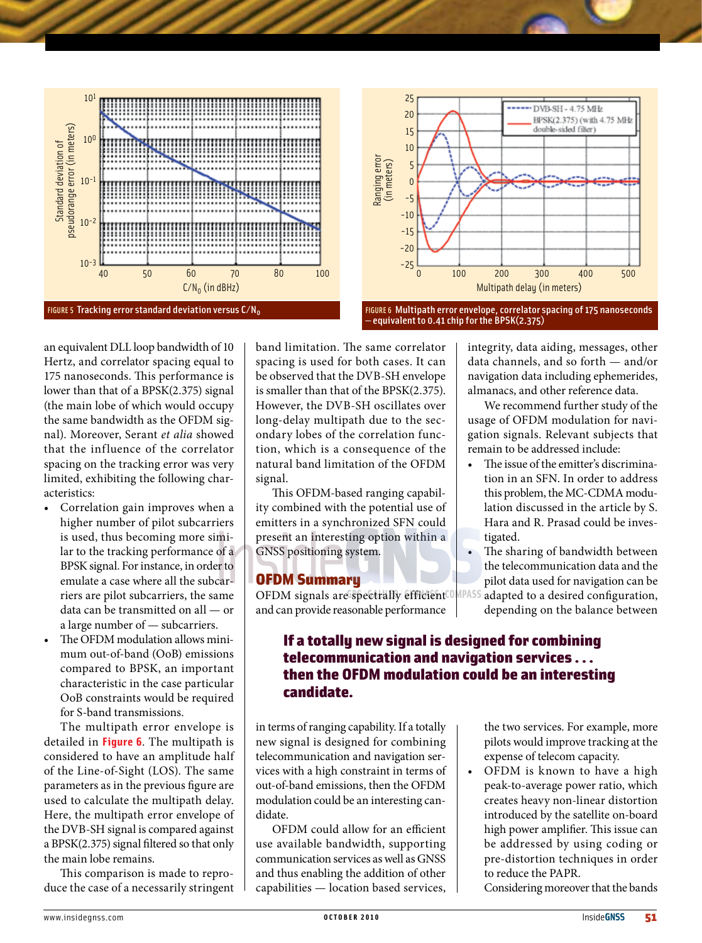



FIGURE 6 Multipath error envelope, correlator spacing of 175 nanoseconds equivalent to 0.41 chip for the BPSK(2.375)

an equivalent DLL loop bandwidth of 10 Hertz, and correlator spacing equal to 175 nanoseconds. This performance is lower than that of a BPSK(2.375) signal (the main lobe of which would occupy the same bandwidth as the OFDM signal). Moreover, Serant *et alia* showed that the influence of the correlator spacing on the tracking error was very limited, exhibiting the following characteristics:

- Correlation gain improves when a higher number of pilot subcarriers is used, thus becoming more similar to the tracking performance of a BPSK signal. For instance, in order to emulate a case where all the subcarriers are pilot subcarriers, the same data can be transmitted on all — or a large number of — subcarriers.
- The OFDM modulation allows minimum out-of-band (OoB) emissions compared to BPSK, an important characteristic in the case particular OoB constraints would be required for S-band transmissions.

The multipath error envelope is detailed in **Figure 6**. The multipath is considered to have an amplitude half of the Line-of-Sight (LOS). The same parameters as in the previous figure are used to calculate the multipath delay. Here, the multipath error envelope of the DVB-SH signal is compared against a BPSK(2.375) signal filtered so that only the main lobe remains.

This comparison is made to reproduce the case of a necessarily stringent

band limitation. The same correlator spacing is used for both cases. It can be observed that the DVB-SH envelope is smaller than that of the BPSK(2.375). However, the DVB-SH oscillates over long-delay multipath due to the secondary lobes of the correlation function, which is a consequence of the natural band limitation of the OFDM signal.

This OFDM-based ranging capability combined with the potential use of emitters in a synchronized SFN could present an interesting option within a GNSS positioning system.

#### OFDM Summary

OFDM signals are spectrally efficient<sup>COMPASS</sup> and can provide reasonable performance

integrity, data aiding, messages, other data channels, and so forth — and/or navigation data including ephemerides, almanacs, and other reference data.

We recommend further study of the usage of OFDM modulation for navigation signals. Relevant subjects that remain to be addressed include:

- The issue of the emitter's discrimination in an SFN. In order to address this problem, the MC-CDMA modulation discussed in the article by S. Hara and R. Prasad could be investigated.
- The sharing of bandwidth between the telecommunication data and the pilot data used for navigation can be adapted to a desired configuration,

depending on the balance between

# If a totally new signal is designed for combining telecommunication and navigation services . . . then the OFDM modulation could be an interesting candidate.

in terms of ranging capability. If a totally new signal is designed for combining telecommunication and navigation services with a high constraint in terms of out-of-band emissions, then the OFDM modulation could be an interesting candidate.

OFDM could allow for an efficient use available bandwidth, supporting communication services as well as GNSS and thus enabling the addition of other capabilities — location based services,

the two services. For example, more pilots would improve tracking at the expense of telecom capacity.

• OFDM is known to have a high peak-to-average power ratio, which creates heavy non-linear distortion introduced by the satellite on-board high power amplifier. This issue can be addressed by using coding or pre-distortion techniques in order to reduce the PAPR.

Considering moreover that the bands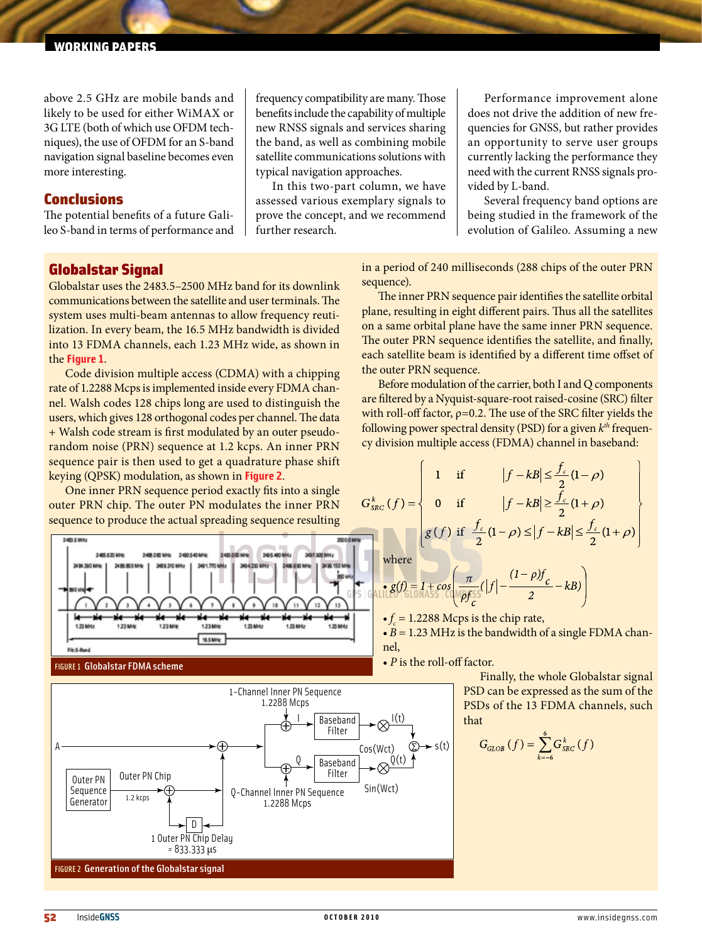above 2.5 GHz are mobile bands and likely to be used for either WiMAX or 3G LTE (both of which use OFDM techniques), the use of OFDM for an S-band navigation signal baseline becomes even more interesting.

#### Conclusions

The potential benefits of a future Galileo S-band in terms of performance and

frequency compatibility are many. Those benefits include the capability of multiple new RNSS signals and services sharing the band, as well as combining mobile satellite communications solutions with typical navigation approaches.

In this two-part column, we have assessed various exemplary signals to prove the concept, and we recommend further research.

Performance improvement alone does not drive the addition of new frequencies for GNSS, but rather provides an opportunity to serve user groups currently lacking the performance they need with the current RNSS signals provided by L-band.

Several frequency band options are being studied in the framework of the evolution of Galileo. Assuming a new

## Globalstar Signal

Globalstar uses the 2483.5–2500 MHz band for its downlink communications between the satellite and user terminals. The system uses multi-beam antennas to allow frequency reutilization. In every beam, the 16.5 MHz bandwidth is divided into 13 FDMA channels, each 1.23 MHz wide, as shown in the **Figure 1**.

Code division multiple access (CDMA) with a chipping rate of 1.2288 Mcps is implemented inside every FDMA channel. Walsh codes 128 chips long are used to distinguish the users, which gives 128 orthogonal codes per channel. The data + Walsh code stream is first modulated by an outer pseudorandom noise (PRN) sequence at 1.2 kcps. An inner PRN sequence pair is then used to get a quadrature phase shift keying (QPSK) modulation, as shown in **Figure 2**.

One inner PRN sequence period exactly fits into a single outer PRN chip. The outer PN modulates the inner PRN sequence to produce the actual spreading sequence resulting

340,000 MM 2405-460 MHz 3457 920 MHz 246,620,666 24054346 3486.6 3491.770.ME n 123MHz 16.5 MHz **First Ave** 





in a period of 240 milliseconds (288 chips of the outer PRN sequence).

The inner PRN sequence pair identifies the satellite orbital plane, resulting in eight different pairs. Thus all the satellites on a same orbital plane have the same inner PRN sequence. The outer PRN sequence identifies the satellite, and finally, each satellite beam is identified by a different time offset of the outer PRN sequence.

Before modulation of the carrier, both I and Q components are filtered by a Nyquist-square-root raised-cosine (SRC) filter with roll-off factor,  $\rho = 0.2$ . The use of the SRC filter yields the following power spectral density (PSD) for a given *kth* frequency division multiple access (FDMA) channel in baseband:

$$
G_{\text{SRC}}^k(f) = \begin{cases} 1 & \text{if} & |f - kB| \le \frac{f_c}{2}(1 - \rho) \\ 0 & \text{if} & |f - kB| \ge \frac{f_c}{2}(1 + \rho) \\ g(f) & \text{if} & \frac{f_c}{2}(1 - \rho) \le |f - kB| \le \frac{f_c}{2}(1 + \rho) \end{cases}
$$

where

$$
\frac{g(f)}{E} \left[ \frac{1}{6} \frac{1}{\sqrt{5}} \cos \left( \frac{\pi}{\sqrt{5}} (|f| - \frac{(1 - \rho)f_c}{2} - kB) \right) \right]
$$

 $\bullet f_c = 1.2288$  Mcps is the chip rate,

• *B* = 1.23 MHz is the bandwidth of a single FDMA channel,

• *Ρ* is the roll-off factor.

Finally, the whole Globalstar signal PSD can be expressed as the sum of the PSDs of the 13 FDMA channels, such that

$$
G_{GLOB}\left(f\right)=\sum_{k=-6}^{6}G_{SRC}^{k}\left(f\right)
$$